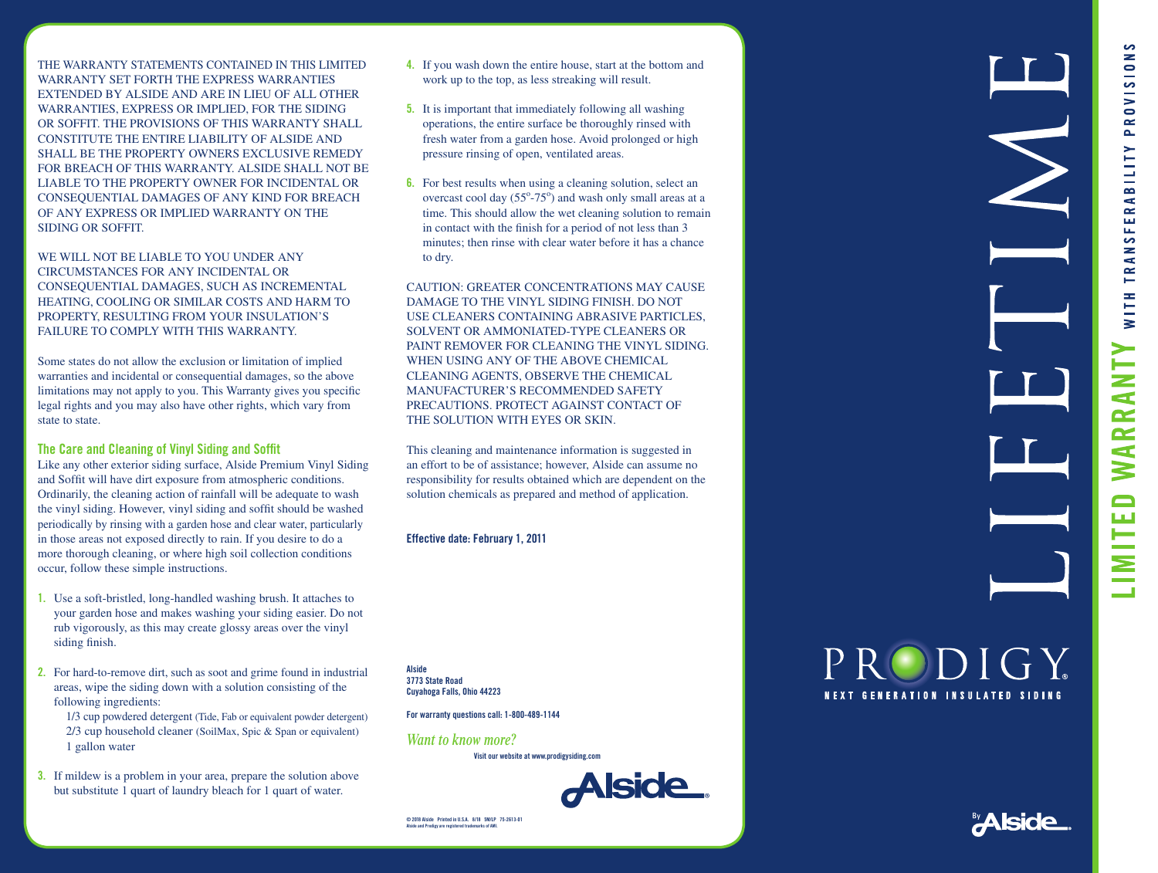THE WARRANTY STATEMENTS CONTAINED IN THIS LIMITED WARRANTY SET FORTH THE EXPRESS WARRANTIES EXTENDED BY ALSIDE AND ARE IN LIEU OF ALL OTHER WARRANTIES, EXPRESS OR IMPLIED, FOR THE SIDING OR SOFFIT. THE PROVISIONS OF THIS WARRANTY SHALL CONSTITUTE THE ENTIRE LIABILITY OF ALSIDE AND SHALL BE THE PROPERTY OWNERS EXCLUSIVE REMEDY FOR BREACH OF THIS WARRANTY. ALSIDE SHALL NOT BE LIABLE TO THE PROPERTY OWNER FOR INCIDENTAL OR CONSEQUENTIAL DAMAGES OF ANY KIND FOR BREACH OF ANY EXPRESS OR IMPLIED WARRANTY ON THE SIDING OR SOFFIT.

WE WILL NOT BE LIABLE TO YOU UNDER ANY CIRCUMSTANCES FOR ANY INCIDENTAL OR CONSEQUENTIAL DAMAGES, SUCH AS INCREMENTAL HEATING, COOLING OR SIMILAR COSTS AND HARM TO PROPERTY, RESULTING FROM YOUR INSULATION'S FAILURE TO COMPLY WITH THIS WARRANTY.

Some states do not allow the exclusion or limitation of implied warranties and incidental or consequential damages, so the above limitations may not apply to you. This Warranty gives you specific legal rights and you may also have other rights, which vary from state to state.

# **The Care and Cleaning of Vinyl Siding and Soffit**

Like any other exterior siding surface, Alside Premium Vinyl Siding and Soffit will have dirt exposure from atmospheric conditions. Ordinarily, the cleaning action of rainfall will be adequate to wash the vinyl siding. However, vinyl siding and soffit should be washed periodically by rinsing with a garden hose and clear water, particularly in those areas not exposed directly to rain. If you desire to do a more thorough cleaning, or where high soil collection conditions occur, follow these simple instructions.

- **1.** Use a soft-bristled, long-handled washing brush. It attaches to your garden hose and makes washing your siding easier. Do not rub vigorously, as this may create glossy areas over the vinyl siding finish.
- **2.** For hard-to-remove dirt, such as soot and grime found in industrial areas, wipe the siding down with a solution consisting of the following ingredients:

 1/3 cup powdered detergent (Tide, Fab or equivalent powder detergent) 2/3 cup household cleaner (SoilMax, Spic & Span or equivalent) 1 gallon water

**3.** If mildew is a problem in your area, prepare the solution above but substitute 1 quart of laundry bleach for 1 quart of water.

- **4.** If you wash down the entire house, start at the bottom and work up to the top, as less streaking will result.
- **5.** It is important that immediately following all washing operations, the entire surface be thoroughly rinsed with fresh water from a garden hose. Avoid prolonged or high pressure rinsing of open, ventilated areas.
- **6.** For best results when using a cleaning solution, select an overcast cool day  $(55^{\circ} - 75^{\circ})$  and wash only small areas at a time. This should allow the wet cleaning solution to remain in contact with the finish for a period of not less than 3 minutes; then rinse with clear water before it has a chance to dry.

CAUTION: GREATER CONCENTRATIONS MAY CAUSE DAMAGE TO THE VINYL SIDING FINISH. DO NOT USE CLEANERS CONTAINING ABRASIVE PARTICLES, SOLVENT OR AMMONIATED-TYPE CLEANERS OR PAINT REMOVER FOR CLEANING THE VINYL SIDING. WHEN USING ANY OF THE ABOVE CHEMICAL CLEANING AGENTS, OBSERVE THE CHEMICAL MANUFACTURER'S RECOMMENDED SAFETY PRECAUTIONS. PROTECT AGAINST CONTACT OF THE SOLUTION WITH EYES OR SKIN.

This cleaning and maintenance information is suggested in an effort to be of assistance; however, Alside can assume no responsibility for results obtained which are dependent on the solution chemicals as prepared and method of application.

**Effective date: February 1, 2011**

**Alside 3773 State Road Cuyahoga Falls, Ohio 44223**

**For warranty questions call: 1-800-489-1144** 

*Want to know more?*





**© 2018 Alside Printed in U.S.A. 8/18 5M/LP 75-2613-01 Alside and Prodigy are registered trademarks of AMI.**

# PRODIGY **NEXT GENERATION INSULATED SIDING**